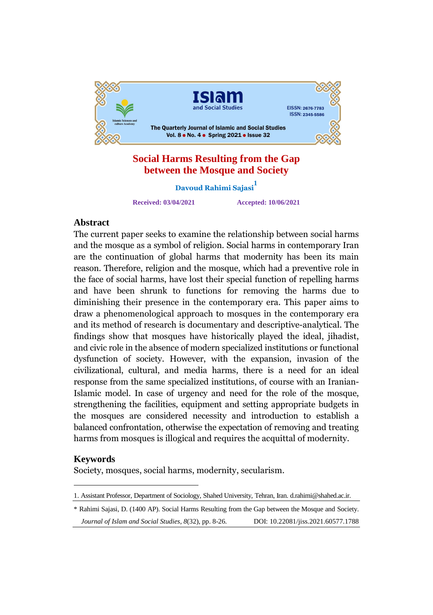

## **Social Harms Resulting from the Gap between the Mosque and Society**

**Davoud Rahimi Sajasi<sup>1</sup>**

**Received: 03/04/2021 Accepted: 10/06/2021**

# Abstract

A**bstract**<br>The current paper seeks to examine the relationship between social harms The current paper seeks to examine the relationship between social harms<br>and the mosque as a symbol of religion. Social harms in contemporary Iran and the mosque as a symbol of religion. Social harms in contemporary Iran<br>are the continuation of global harms that modernity has been its main are the continuation of giobal narms that modernity has been its main<br>reason. Therefore, religion and the mosque, which had a preventive role in reason. Inererore, reugion and the mosque, which had a preventive role in<br>the face of social harms, have lost their special function of repelling harms the face of social narms, have lost their special function of repelling narms<br>and have been shrunk to functions for removing the harms due to and have been shrunk to functions for removing the narms due to<br>diminishing their presence in the contemporary era. This paper aims to diminishing their presence in the contemporary era. This paper aims to<br>draw a phenomenological approach to mosques in the contemporary era draw a phenomenological approach to mosques in the contemporary era<br>and its method of research is documentary and descriptive-analytical. The findings show that mosques have historically played the ideal, jihadist, nnaings snow that mosques nave nistorically played the ideal, jinadist,<br>and civic role in the absence of modern specialized institutions or functional and civic role in the absence of modern specialized institutions or functional<br>dysfunction of society. However, with the expansion, invasion of the aysrunction or society. However, with the expansion, invasion or the<br>civilizational, cultural, and media harms, there is a need for an ideal response from the same specialized institutions, of course with an Iranian-Islamic model. In case of urgency and need for the role of the mosque, islamic model. In case of urgency and need for the role of the mosque,<br>strengthening the facilities, equipment and setting appropriate budgets in strengthening the facilities, equipment and setting appropriate budgets in<br>the mosques are considered necessity and introduction to establish a the mosques are considered necessity and introduction to establish a<br>balanced confrontation, otherwise the expectation of removing and treating harms from mosques is illogical and requires the acquittal of modernity.

## Keywords

Society, mosques, social harms, modernity, secularism.

<sup>1.</sup> Assistant Professor, Department of Sociology, Shahed University, Tehran, Iran. d.rahimi@shahed.ac.ir.

<sup>\*</sup> Rahimi Sajasi, D. (1400 AP). Social Harms Resulting from the Gap between the Mosque and Society. *Journal of Islam and Social Studies, 8*(32), pp. 8-26. DOI: 10.22081/jiss.2021.60577.1788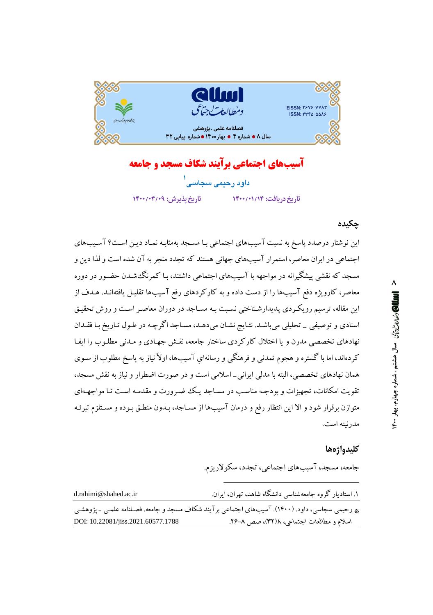

آسیبهای اجتماعی برآیند شکاف مسجد و جامعه داود رحیمی سجاسی تاريخ دريافت: ١٤٠٠/٠١/١٤ تاريخ يذيرش: ١٤٠٧/٠٣/٠٣

## چکیده

این نوشتار درصدد پاسخ به نسبت آسیبهای اجتماعی بـا مسـجد بهمثابـه نمـاد ديـن اسـت؟ آسـيبهای اجتماعی در ایران معاصر، استمرار آسیبهای جهانی هستند که تجدد منجر به آن شده است و لذا دین و مسجد که نقشی پیشگیرانه در مواجهه با آسیبهای اجتماعی داشتند، بـا کمرنگ شـدن حضـور در دوره معاصر، کارویژه دفع آسیبها را از دست داده و به کارکردهای رفع آسیبها تقلیـل یافتهانـد. هـدف از این مقاله، ترسیم رویکردی پدیدارشناختی نسبت بـه مسـاجد در دوران معاصـر اسـت و روش تحقیـق اسنادی و توصیفی \_ تحلیلی میباشـد. نتـایج نشـان میدهـد، مسـاجد اگرچـه در طـول تـاریخ بـا فقـدان نهادهای تخصصی مدرن و یا اختلال کارکردی ساختار جامعه، نقش جهـادی و مـدنی مطلـوب را ایفـا کردهاند، اما با گستره و هجوم تمدنی و فرهنگی و رسانهای آسیبها، اولاً نیاز به پاسخ مطلوب از سـوی همان نهادهای تخصصی، البته با مدلی ایرانی\_اسلامی است و در صورت اضطرار و نیاز به نقش مسجد، تقویت امکانات، تجهیزات و بودجـه مناسـب در مسـاجد یـک ضمـرورت و مقدمـه اسـت تـا مواجهـهای متوازن برقرار شود و الا این انتظار رفع و درمان آسیبها از مسـاجد، بـدون منطـق بـوده و مسـتلزم تبرئـه مدرنته است.

#### كليدواژهها

جامعه، مسجد، آسیبهای اجتماعی، تجدد، سکولاریزم.

| d.rahimi@shahed.ac.ir                                                                            | ۱. استادیار گروه جامعهشناسی دانشگاه شاهد، تهران، ایران. |
|--------------------------------------------------------------------------------------------------|---------------------------------------------------------|
| په رحیمي سجاسي، داود. (۱۴۰۰). آسیبهاي اجتماعي بر آیند شکاف مسجد و جامعه. فصلنامه علمـي ـ پژوهشـي |                                                         |
| DOI: 10.22081/jiss.2021.60577.1788                                                               | اسلام و مطالعات اجتماعی، ۲۸(۳۲)، صص ۸–۲۶.               |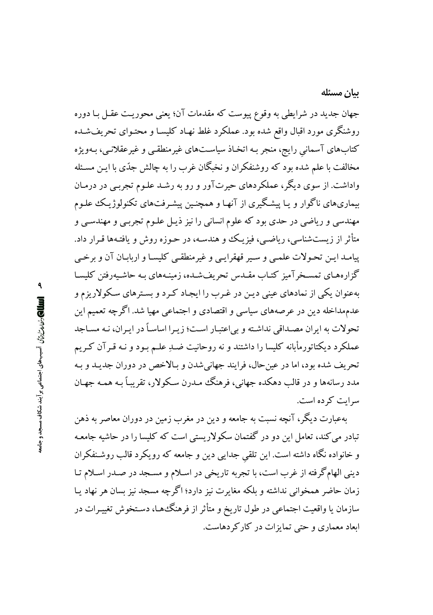بيان مسئله

جهان جدید در شرایطی به وقوع پیوست که مقدمات آن؛ یعنی محوریت عقـل بـا دوره روشنگری مورد اقبال واقع شده بود. عملکرد غلط نهـاد کلیسـا و محتـوای تحریفشـده کتابهای آسمانی رایج، منجر بـه اتخـاذ سیاسـتهای غیرمنطقـی و غیرعقلانـی، بـهویژه مخالفت با علم شده بود که روشنفکران و نخبگان غرب را به چالش جدّي با ايـن مسـئله واداشت. از سوی دیگر، عملکردهای حیرتآور و رو به رشـد علـوم تجربـی در درمـان بیماریهای ناگوار و یـا پیشگیری از آنهـا و همچنـین پیشـرفتهای تکنولوژیـک علـوم مهندسی و ریاضی در حدی بود که علوم انسانی را نیز ذیـل علـوم تجربـی و مهندسـی و متأثر از زیستشناسی، ریاضـی، فیزیـک وو هندسـه، در حـوزه روش و یافتـهها قـرار داد. پیامـد ایـن تحـولات علمـی و سـیر قهقرایـی و غیرمنطقـی کلیسـا و اربابـان آن و برخـی گزارههای تمسـخر آمیز کتـاب مقـدس تحریفشـده، زمینـههای بـه حاشـیهرفتن کلیسـا بهعنوان یکی از نمادهای عینی دیـن در غـرب را ایجـاد کـرد و بسـترهای سـکولاریزم و عدمهداخله دین در عرصههای سیاسی و اقتصادی و اجتماعی مهیا شد. اگرچه تعمیم این تحولات به ایران مصـداقی نداشـته و بی|عتبـار اسـت؛ زیـرا اساسـاً در ایـران، نـه مسـاجد عملکرد دیکتاتورمأبانه کلیسا را داشتند و نه روحانیت ضـدِ علـم بـود و نـه قـرآن کـریم تحريف شده بود، اما در عين حال، فرايند جهاني شدن و بـالاخص در دوران جديـد و بـه مدد رسانهها و در قالب دهکده جهانی، فرهنگ میدرن سکولار، تقریباً به همیه جهیان سرایت کرده است.

بهعبارت دیگر، آنچه نسبت به جامعه و دین در مغرب زمین در دوران معاصر به ذهن تبادر می کند، تعامل این دو در گفتمان سکولاریستی است که کلیسا را در حاشیه جامعـه و خانواده نگاه داشته است. این تلقی جدایی دین و جامعه که رویکرد قالب روشـنفکران دینی الهامگرفته از غرب است، با تجربه تاریخی در اسلام و مسـجد در صـدر اسـلام تـا زمان حاضر همخوانی نداشته و بلکه مغایرت نیز دارد؛ اگرچه مسجد نیز بسان هر نهاد یـا سازمان یا واقعیت اجتماعی در طول تاریخ و متأثر از فرهنگءها، دسـتخوش تغییـرات در ابعاد معماری و حتی تمایزات در کار کردهاست.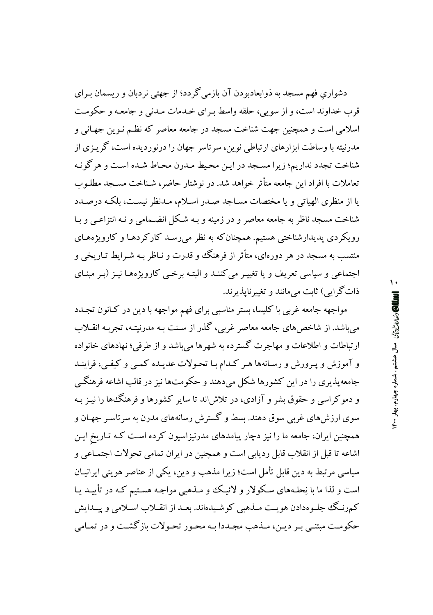دشواری فهم مسجد به ذوابعادبودن آن بازمی گردد؛ از جهتی نردبان و ریسمان بـرای قرب خداوند است، و از سویی، حلقه واسط به ای خیدمات میدنی و جامعه و حکومت اسلامی است و همچنین جهت شناخت مسجد در جامعه معاصر که نظـم نـوین جهـانی و مدرنیته با وساطت ایزارهای ارتباطی نوین، سرتاسر جهان را درنوردیده است، گرینری از شناخت تجدد نداریم؛ زیرا مسـجد در ایـن محـیط مـدرن محـاط شـده اسـت و هر گونـه تعاملات با افراد این جامعه متأثر خواهد شد. در نوشتار حاضر، شـناخت مسـجد مطلـوب یا از منظری الهیاتی و یا مختصات مسـاجد صـدر اسـلام، مـدنظر نیسـت، بلکـه درصـدد شناخت مسجد ناظر به جامعه معاصر و در زمینه و بـه شکل انضـمامی و نـه انتزاعـی و بـا رویکردی پدیدارشناختی هستیم. همچنان که به نظر میرسـد کارکردهـا و کارویژههـای منتسب به مسجد در هر دورهای، متأثر از فرهنگ و قدرت و نـاظر بـه شـرايط تـاريخي و اجتماعی و سیاسی تعریف و یا تغییـر می کننـد و البتـه برخـی کارویژههـا نیـز (بـر مبنـای ذات گرايي) ثابت مي مانند و تغيير نايذير ند.

مواجهه جامعه غربی با کلیسا، بستر مناسبی برای فهم مواجهه با دین در کـانون تجـدد می باشد. از شاخص های جامعه معاصر غربی، گذر از سنت بـه مدرنیتـه، تجربـه انقــلاب ارتباطات و اطلاعات و مهاجرت گسترده به شهرها می باشد و از طرفی؛ نهادهای خانواده و آموزش و پـرورش و رسـانهها هـر كـدام بـا تحـولات عديـده كمـي و كيفـي، فراينـد جامعه پذیری را در این کشورها شکل میدهند و حکومتها نیز در قالب اشاعه فرهنگی و دموکراسی و حقوق بشر و آزادی، در تلاش اند تا سایر کشورها و فرهنگ ها را نیـز بـه سوی ارزش های غربی سوق دهند. بسط و گسترش رسانههای مدرن به سرتاسر جهـان و همچنین ایران، جامعه ما را نیز دچار پیامدهای مدرنیزاسیون کرده است کـه تـاریخ ایـن اشاعه تا قبل از انقلاب قابل ردیابی است و همچنین در ایران تمامی تحولات اجتمـاعی و سیاسی مرتبط به دین قابل تأمل است؛ زیرا مذهب و دین، یکی از عناصر هویتی ایرانیـان است و لذا ما با نِحلَّـهای سکولار و لائیک و مـذهبی مواجـه هسـتیم کـه در تأییـد یـا کمرنگ جلمومدادن هويت مىذهبى كوشىيدەاند. بعىد از انقىلاب اسىلامى و يېيدايش حکومت مبتنبی بـر دیـن، مـذهب مجـددا بـه محـور تحـولات بازگشـت و در تمـامی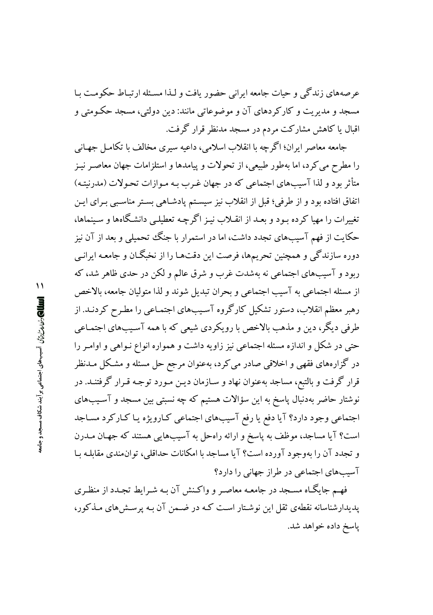عرصههای زندگی و حیات جامعه ایرانی حضور یافت و لـذا مسـئله ارتبـاط حکومـت بـا مسجد و مديريت و كاركردهاي آن و موضوعاتي مانند: دين دولتي، مسجد حكـومتي و اقبال یا کاهش مشارکت مردم در مسجد مدنظر قرار گرفت.

جامعه معاصر ایران؛ اگر چه با انقلاب اسلامی، داعیه سبری مخالف با تکامـل جهـانی را مطرح می کرد، اما بهطور طبیعی، از تحولات و پیامدها و استلزامات جهان معاصـر نیـز متأثر بود و لذا آسیبهای اجتماعی که در جهان غـرب بـه مـوازات تحـولات (مدرنیتـه) اتفاق افتاده بود و از طرفي؛ قبل از انقلاب نيز سيسـتم پادشـاهي بسـتر مناسـبي بـراي ايـن تغییرات را مهیا کرده بـود و بعـد از انقـلاب نیـز اگرچـه تعطیلـی دانشـگاهها و سـینماها، حکایت از فهم آسیبهای تجدد داشت، اما در استمرار با جنگ تحمیلی و بعد از آن نیز دوره سازندگی و همچنین تحریمها، فرصت این دقتهـا را از نخبگـان و جامعـه ایرانـی ربود و آسیبهای اجتماعی نه بهشدت غرب و شرق عالم و لکن در حدی ظاهر شد، که از مسئله اجتماعي به آسيب اجتماعي و بحران تبديل شوند و لذا متوليان جامعه، بالاخص رهبر معظم انقلاب، دستور تشکیل کارگروه آسیبهای اجتمـاعی را مطـرح کردنـد. از طرفي ديگر، دين و مذهب بالاخص با رويكردي شيعي كه با همه آسيبهاي اجتمـاعي حتی در شکل و اندازه مسئله اجتماعی نیز زاویه داشت و همواره انواع نـواهی و اوامـر را در گزارههای فقهی و اخلاقی صادر می کرد، بهعنوان مرجع حل مسئله و مشکل مـدنظر قرار گرفت و بالتبع، مساجد بهعنوان نهاد و سـازمان ديـن مـورد توجـه قـرار گرفتنــد. در نوشتار حاضر بهدنبال پاسخ به این سؤالات هستیم که چه نسبتی بین مسجد و آسـیبهای اجتماعی وجود دارد؟ آیا دفع یا رفع آسیبهای اجتماعی کـارویژه یـا کـارکرد مسـاجد است؟ آیا مساجد، موظف به پاسخ و ارائه راهحل به آسیبهایی هستند که جهـان مــدرن و تجدد آن را بهوجود آورده است؟ آیا مساجد با امکانات حداقلی، توان مندی مقابلـه بـا آسیبهای اجتماعی در طراز جهانی را دارد؟

فهم جایگـاه مسـجد در جامعـه معاصـر و واكـنش آن بـه شـرایط تجـدد از منظـری پدیدارشناسانه نقطهی ثقل این نوشـتار اسـت کـه در ضـمن آن بـه یرسـش های مـذکور، یاسخ داده خواهد شد.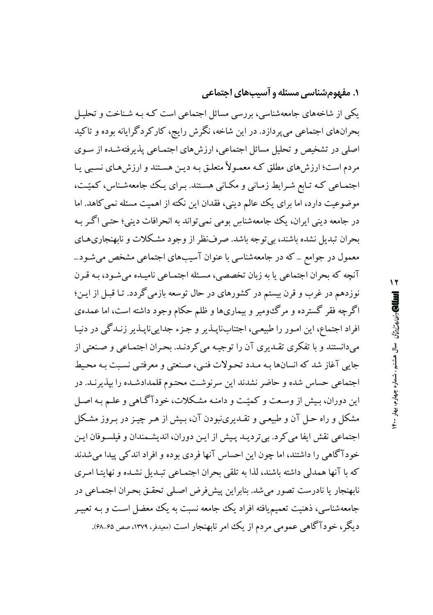**۱. مفهومشناسی مسئله و آسیبهای اجتماعی** 

یکی از شاخههای جامعهشناسی، بررسی مسائل اجتماعی است کـه بـه شـناخت و تحلیـل بحرانهای اجتماعی میپردازد. در این شاخه، نگرش رایج، کارکردگرایانه بوده و تاکید اصلی در تشخیص و تحلیل مسائل اجتماعی، ارزش های اجتمـاعی پذیرفتهشـده از سـوی مردم است؛ ارزشهای مطلق کـه معمـولاً متعلـق بـه ديـن هسـتند و ارزشهـای نسـبی يـا اجتمـاعی کـه تـابع شـرايط زمـانی و مکـانی هسـتند. بـرای يـک جامعهشـناس، کميّـت، موضوعیت دارد، اما برای یک ععالم دینی، فقدان این نکته از اهمیت مسئله نمی کاهد. اما در جامعه دینی ایران، یک جامعهشناسِ بومی نمی تواند به انحرافات دینی؛ حتبی اگـر بـه بحران تبدیل نشده باشند، بی توجه باشد. صرفنظر از وجود مشکلات و نابهنجاریهای معمول در جوامع \_ که در جامعهشناسی با عنوان آسیبهای اجتماعی مشخص میشود\_ آنچه که بحران اجتماعی یا به زبان تخصصی، مسـئله اجتمـاعی نامیـده می شـود، بـه قـرن نوزدهم در غرب و قرن بیستم در کشورهای در حال توسعه بازمی گردد. تـا قبــا از ایــن؛ اگرچه فقر گسترده و مرگءومیر و بیماریها و ظلم حکام وجود داشته است، اما عمدهی افراد اجتماع، این امـور را طبیعـی، اجتنابنایـذیر و جـزء جدایینایـذیر زنـدگی در دنیـا میدانستند و با تفکری تقـدیری آن را توجیـه می کردنـد. بحـران اجتمـاعی و صـنعتی از جايي آغاز شد كه انسانها بـه مـدد تحـولات فنـي، صـنعتي و معرفتـي نسـبت بـه محـيط اجتماعی حساس شده و حاضر نشدند این سرنوشت محتـوم قلمدادشـده را بپذیرنـد. در این دوران، بیش از وسعت و کمیّت و دامنـه مشـکلات، خودآگـاهی و علـم بـه اصـل مشکل و راه حـل آن و طبیعـی و تقـدیرینبودن آن، بـیش از هـر چیـز در بـروز مشـکل اجتماعي نقش ايفا مي كرد. بي ترديـد پـيش از ايـن دوران، انديشـمندان و فيلسـوفان ايـن خودآگاهی را داشتند، اما چون این احساس آنها فردی بوده و افراد اندکی پیدا می شدند كه با آنها همدلي داشته باشند، لذا به تلقى بحران اجتمـاعى تبـديل نشـده و نهايتـا امـرى نابهنجار یا نادرست تصور می شد. بنابراین پیش فرض اصلی تحقق بحران اجتمـاعی در جامعهشناسی، ذهنیت تعمیم،یافته افراد یک جامعه نسبت به یک معضل اسـت و بـه تعبیـر دیگر، خودآگاهی عمومی مردم از یک امر نابهنجار است (معیدفر، ۱۳۷۹، صص ۶۵–۶۸).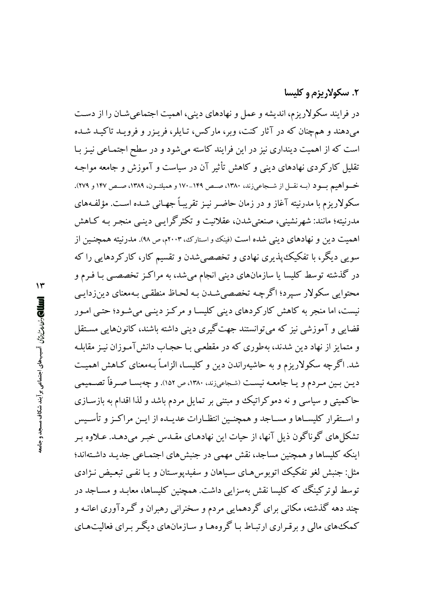## ۲. سکولاریزم و کلیسا

در فرایند سکولاریزم، اندیشه و عمل و نهادهای دینی، اهمیت اجتماعی شـان را از دسـت میدهند و همچنان که در آثار کنت، وبر، مارکس، تـايلر، فريـزر و فرويـد تاکيـد شـده است که از اهمیت دینداری نیز در این فرایند کاسته می شود و در سطح اجتمـاعی نیـز بـا تقلیل کارکردی نهادهای دینی و کاهش تأثیر آن در سیاست و آموزش و جامعه مواجـه خسو آهيم بسو د (بـه نقــل از شــجاعي;ند، ١٣٨٠، صـص ١٤٩-١٧٠ و هميلتــون، ١٣٨٩، صـص ١٤٧ و ٢٧٩). سکولاریزم با مدرنیته آغاز و در زمان حاضـر نیـز تقریبـاً جهـانی شـده اسـت. مؤلفـههای مدرنيته؛ مانند: شهرنشيني، صنعتي شدن، عقلانيت و تكثر گرايبي دينبي منجـر بـه كــاهش اهمیت دین و نهادهای دینی شده است (فینک و استارک، ۲۰۰۳م، ص ۹۸). مدرنیته همچنـین از سویی دیگر، با تفکیک پذیری نهادی و تخصصی شدن و تقسیم کار، کارکردهایی را که در گذشته توسط کلیسا یا سازمانهای دینی انجام میشد، به مراکـز تخصصـی بـا فـرم و محتوایی سکولار سیرد؛ اگرچه تخصصی شدن بـه لحـاظ منطقـی بـهمعنای دینiدایـی نیست، اما منجر به کاهش کارکردهای دینی کلیسـا و مرکـز دینـی می شـود؛ حتـی امـور قضایی و آموزشی نیز که می توانستند جهت گیری دینی داشته باشند، کانونهایی مسـتقل و متمایز از نهاد دین شدند، بهطوری که در مقطعی بـا حجـاب دانش آمـوزان نیـز مقابلـه شد. اگرچه سکولاریزم و به حاشیهراندن دین و کلیسـا، الزامـاً بـهمعنای کـاهش اهمیـت ديـن بـين مـردم و يـا جامعـه نيسـت (شـجاعي;ند، ١٣٨٠، ص ١٥٢). و چهبسـا صـرفاً تصــميمي حاکمیتی و سیاسی و نه دموکراتیک و مبتنی بر تمایل مردم باشد و لذا اقدام به بازسـازی و اسـتقرار كليسـاها و مسـاجد و همچنـين انتظـارات عديـده از ايـن مراكـز و تأسـيس تشکلهای گوناگون ذیل آنها، از حیات این نهادهـای مقـدس خبـر میدهـد. عـلاوه بـر اینکه کلیساها و همچنین مساجد، نقش مهمی در جنبشهای اجتمـاعی جدیـد داشـتهاند؛ مثل: جنبش لغو تفکیک اتوبوس هبای سیاهان و سفیدیوستان و یا نفبی تبعیض نـژادی توسط لو ترکینگ که کلیسا نقش بهسزایی داشت. همچنین کلیساها، معایید و مساجد در چند دهه گذشته، مکانی برای گر دهمایی مردم و سخنرانی رهبران و گـردآوری اعانـه و کمک های مالی و بر قبراری ارتباط با گروهها و سازمانهای دیگیر برای فعالیت هیای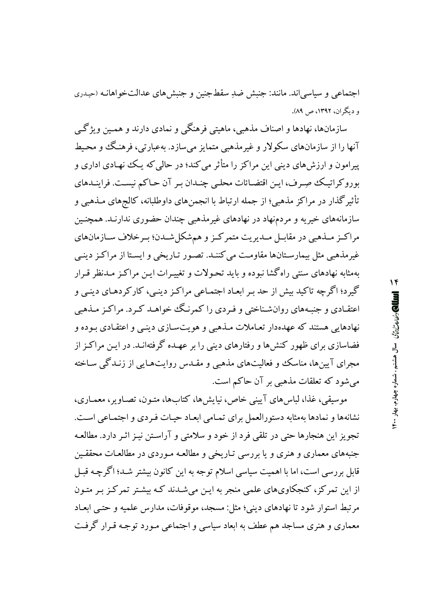اجتماعی و سیاسی اند. مانند: جنبش ضدِ سقط جنین و جنبش های عدالتخواهانـه (حیـدری و دیگران، ۱۳۹۲، ص ۸۹).

سازمانها، نهادها و اصناف مذهبي، ماهيتي فرهنگي و نمادي دارند و همـين ويژگے آنها را از سازمانهاي سکولار و غيرمذهبي متمايز مي سازد. بهعبارتي، فرهنگ و محيط پیرامون و ارزشهای دینی این مراکز را متأثر می کند؛ در حالی که یـک نهـادی اداری و بوروکر اتبک صورف، ایـن اقتضـائات محلـبي چنـدان بـر آن حـاکم نيسـت. فراينــدهاي تأثیرگذار در مراکز مذهبی؛ از جمله ارتباط با انجمنهای داوطلبانه، کالجهای مـذهبی و سازمانههای خیریه و مردمنهاد در نهادهای غیرمذهبی چندان حضوری ندارنـد. همچنـین مراكـز مــذهبي در مقابــل مــديريت متمركـز و همشكلشــدن؛ بــرخلاف ســازمانهاي غیرمذهبی مثل بیمارستانها مقاومت می کننـد. تصـور تـاریخی و ایسـتا از مراکـز دینـی بهمثابه نهادهای سنتی راهگشا نبوده و باید تحـولات و تغییـرات ایـن مراکـز مـدنظر قـرار گیرد؛ اگر چه تاکید بیش از حد پیر ابعاد اجتماعی مراکن دینے، کار کردهای دینے و اعتقـادي و جنبـههاي روانشـناختي و فـردي را كمرنـگ خواهـد كـرد. مراكـز مـذهبي نهادهایی هستند که عهدهدار تعـاملات مـذهبی و هو پتسـازی دینـی و اعتقـادی پـوده و فضاسازی برای ظهور کنش۵ا و رفتارهای دینی را بر عهـده گرفتهانـد. در ایـن مراکـز از مجرای آیینها، مناسک و فعالیتهای مذهبی و مقـدس روایتهـایی از زنـدگی سـاخته می شود که تعلقات مذهبی بر آن حاکم است.

موسیقی، غذا، لباس های آیینی خاص، نیایش ها، کتابها، متـون، تصـاویر، معمـاری، نشانهها و نمادها بهمثابه دستورالعمل براي تمـامي ابعـاد حيـات فـردي و اجتمـاعي اسـت. تجويز اين هنجارها حتى در تلقى فرد از خود و سلامتى و آراسـتن نيـز اثـر دارد. مطالعـه جنبههای معماری و هنری و یا بررسی تـاریخی و مطالعـه مـوردی در مطالعـات محققـین قابل بررسی است، اما با اهمیت سیاسی اسلام توجه به این کانون بیشتر شـد؛ اگرچـه قبـل از این تمرکز، کنجکاویهای علمی منجر به این میشدند که بیشتر تمرکز بر متـون مرتبط استوار شود تا نهادهای دینی؛ مثل: مسجد، موقوفات، مدارس علمیه و حتب ایعـاد معماری و هنری مساجد هم عطف به ابعاد سیاسی و اجتماعی مـورد توجـه قـرار گرفـت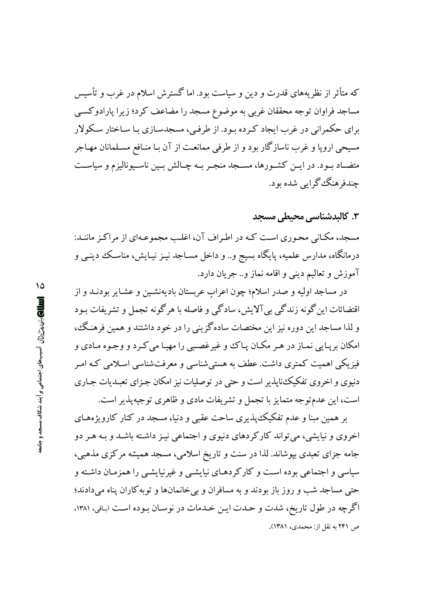که متأثر از نظریههای قدرت و دین و سیاست بود. اما گسترش اسلام در غرب و تأسیس مساجد فراوان توجه محققان غربی به موضوع مسجد را مضاعف کرد؛ زیرا پارادوکسبی برای حکمرانی در غرب ایجاد کـرده بـود. از طرفـی، مسجدسـازی بـا سـاختار سـکولار مسیحی اروپا و غرب ناسازگار بود و از طرفی ممانعت از آن بـا منـافع مسـلمانان مهـاجر متضـاد بـود. در ايــن كشـورها، مســجد منجــر بــه چــالش بــين ناســيوناليزم و سياســت چندفرهنگ گرایی شده بود.

۳. کالیدشناسی محیطی مسجد

مسجد، مکـانی محـوری اسـت کـه در اطـراف آن، اغلـب مجموعـهای از مراکـز ماننـد: درمانگاه، مدارس علمیه، پایگاه بسیج و.. و داخل مســاجد نیــز نیــایش، مناســک دینــی و آموزش و تعاليم ديني و اقامه نماز و.. جريان دارد.

در مساجد اولیه و صدر اسلام؛ چون اعراب عربستان بادیهنشـین و عشـایر بودنـد و از اقتضائات این گونه زندگی بیآلایش، سادگی و فاصله با هرگونه تجمل و تشریفات بـود و لذا مساجد این دوره نیز این مختصات سادهگزینی را در خود داشتند و همین فرهنگ، امکان برپـايي نمـاز در هـر مکـان پـاکـُ و غيرغصـبي را مهيـا مي کـرد و وجـوه مـادي و فیزیکی اهمیت کمتری داشت. عطف به هستی شناسی و معرفتشناسی اسـلامی کـه امـر دنیوی و اخروی تفکیک،ناپذیر است و حتی در توصلیات نیز امکان جـزای تعبـدیات جـاری است، این عدمتوجه متمایز با تجمل و تشریفات مادی و ظاهری توجیهپذیر است.

بر همین مبنا و عدم تفکیک پذیری ساحت عقبی و دنیا، مسجد در کنار کارویژههـای اخروی و نیایشی، می تواند کارکردهای دنیوی و اجتماعی نیـز داشـته باشـد و بـه هـر دو جامه جزای تعبدی بپوشاند. لذا در سنت و تاریخ اسلامی، مسجد همیشه مرکزی مذهبی، سیاسی و اجتماعی بوده است و کارکردهـای نیایشـی و غیرنیایشـی را همزمـان داشـته و حتی مساجد شب و روز باز بودند و به مسافران و بی خانمانها و توبه کاران پناه می دادند؛ اگرچه در طول تاریخ، شدت و حـدت ایـن خـدمات در نوسـان بـوده اسـت (بـاقي، ۱۳۸۱، ص ۲۴۱ به نقل از: محمدی، ۱۳۸۱).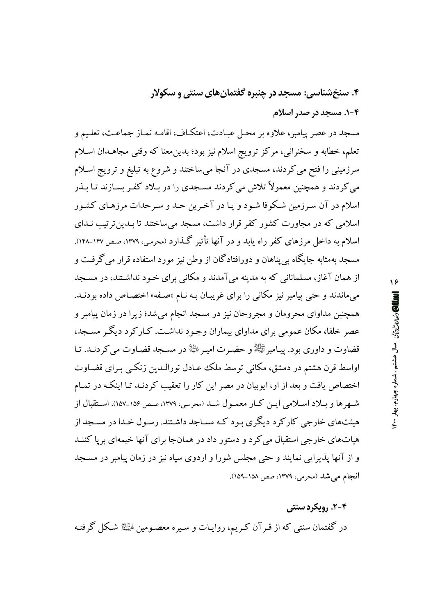۴. سنخشناسی: مسجد در چنبره گفتمان های سنتی و سکولار ۰۴-۱. مسجد در صدر اسلام

مسجد در عصر پیامبر، علاوه بر محـل عبـادت، اعتكـاف، اقامـه نمـاز جماعـت، تعلـيم و تعلم، خطابه و سخنرانی، مرکز ترویج اسلام نیز بود؛ بدین معنا که وقتی مجاهـدان اسـلام سرزمینی را فتح می کردند، مسجدی در آنجا میساختند و شروع به تبلیغ و ترویج اسلام می کردند و همچنین معمولاً تلاش می کردند مسجدی را در بـلاد کفـر بسـازند تـا بـذر اسلام در آن سـرزمین شـکوفا شـود و یـا در آخـرین حـد و سـرحدات مرزهـای کشـور اسلامی که در مجاورت کشور کفر قرار داشت، مسجد می ساختند تا بـدین ترتیب نـدای اسلام به داخل مرزهای کفر راه پابد و در آنها تأثیر گـذارد (محرمـی، ۱۳۷۹، صـص۱۴۷-۱۴۸). مسجد بهمثابه جایگاه به پناهان و دورافتادگان از وطن نیز مورد استفاده قرار می گرفت و از همان آغاز، مسلمانانی که به مدینه میآمدند و مکانی برای خـود نداشـتند، در مسـجد می ماندند و حتی پیامبر نیز مکانی را برای غریبان به نـام «صـفه» اختصـاص داده بودنـد. همچنین مداوای محرومان و مجروحان نیز در مسجد انجام می شد؛ زیرا در زمان پیامبر و عصر خلفا، مکان عمومی برای مداوای بیماران وجـود نداشـت. کـارکرد دیگـر مسـجد، قضاوت و داوری بود. پیـامبرﷺ و حضـرت امیـر $\mathbb{R}$  در مسـجد قضـاوت می کردنـد. تـا اواسط قرن هشتم در دمشق، مکانی توسط ملک عـادل نورالـدين زنکـبی بـرای قضـاوت اختصاص یافت و بعد از او، ایوبیان در مصر این کار را تعقیب کردنـد تـا اینکـه در تمـام شـهرها و بـلاد اسـلامي ايـن كـار معمـول شـد (محرمـي، ١٣٧٩، صـص ١٥۶\_١۵٧). اسـتقبال از هیئتهای خارجی کارکرد دیگری بود که مساجد داشتند. رسول خدا در مسجد از هیاتهای خارجی استقبال می کرد و دستور داد در همانجا برای آنها خیمهای برپا کننـد و از آنها پذیرایی نمایند و حتی مجلس شورا و اردوی سپاه نیز در زمان پیامبر در مسـجد انجام می شد (محرمی، ۱۳۷۹، صص ۱۵۸–۱۵۹).

۲-۴. رویکرد سنتی در گفتمان سنتی که از قـرآن کـریم، روایـات و سـیره معصـومین ﷺ شکل گرفتـه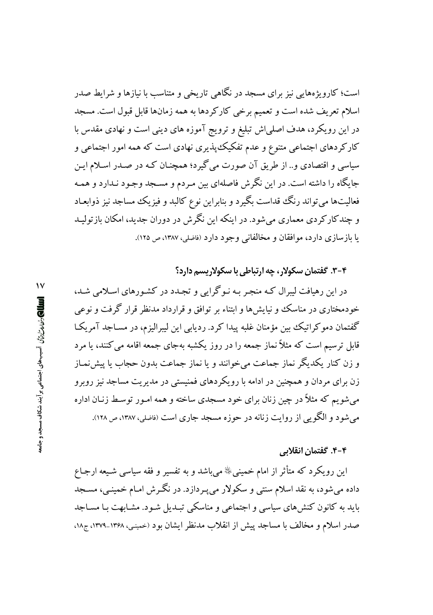است؛ کارویژههایی نیز برای مسجد در نگاهی تاریخی و متناسب با نیازها و شرایط صدر اسلام تعریف شده است و تعمیم برخی کارکردها به همه زمانها قابل قبول است. مسجد در این رویکرد، هدف اصلی اش تبلیغ و ترویج آموزه های دینی است و نهادی مقدس با کارکردهای اجتماعی متنوع و عدم تفکیک پذیری نهادی است که همه امور اجتماعی و سیاسی و اقتصادی و.. از طریق آن صورت می گیرد؛ همچنـان کـه در صـدر اسـلام ایـن جایگاه را داشته است. در این نگرش فاصلهای بین مـردم و مسـجد وجـود نـدارد و همـه فعالیتها میتواند رنگ قداست بگیرد و بنابراین نوع کالبد و فیزیک مساجد نیز ذوابعـاد و چندکارکردی معماری میشود. در اینکه این نگرش در دوران جدید، امکان بازتولیـد يا بازسازي دارد، موافقان و مخالفاني وجود دارد (فاضلي، ١٣٨٧، ص ١٢٥).

۴-۳. گفتمان سکولار، چه ارتباطی با سکولاریسم دارد؟

در این رهبافت لیبرال کـه منجـر بـه نـو گرایی و تجـدد در کشـورهای اسـلامی شـد، خودمختاری در مناسک و نیایشها و ابتناء بر توافق و قرارداد مدنظر قرار گرفت و نوعی گفتمان دموکراتیک بین مؤمنان غلبه پیدا کرد. ردیابی این لیبرالیزم، در مسـاجد آمریکـا قابل ترسیم است که مثلاً نماز جمعه را در روز یکشبه بهجای جمعه اقامه می کنند، یا مرد و زن کنار یکدیگر نماز جماعت میخوانند و یا نماز جماعت بدون حجاب یا پیشiنماز زن برای مردان و همچنین در ادامه با رویکردهای فمنیستی در مدیریت مساجد نیز روبرو می شویم که مثلاً در چین زنان برای خود مسجدی ساخته و همه امـور توسـط زنـان اداره می شود و الگویی از روایت زنانه در حوزه مسجد جاری است (فاضلی، ۱۳۸۷، ص ۱۲۸).

#### ۴-۴. گفتمان انقلابی

این رویکرد که متأثر از امام خمینی $\mathbb{I}^{\! \diamond }$  می باشد و به تفسیر و فقه سیاسی شـیعه ارجـاع داده میشود، به نقد اسلام سنتی و سکولار می پـردازد. در نگـرش امـام خمینـی، مسـجد باید به کانون کنشهای سیاسی و اجتماعی و مناسکی تبـدیل شـود. مشـابهت بـا مسـاجد صدر اسلام و مخالف با مساجد پیش از انقلاب مدنظر ایشان بود (حمینبی، ۱۳۶۸-۱۳۷۹، ج۱۸،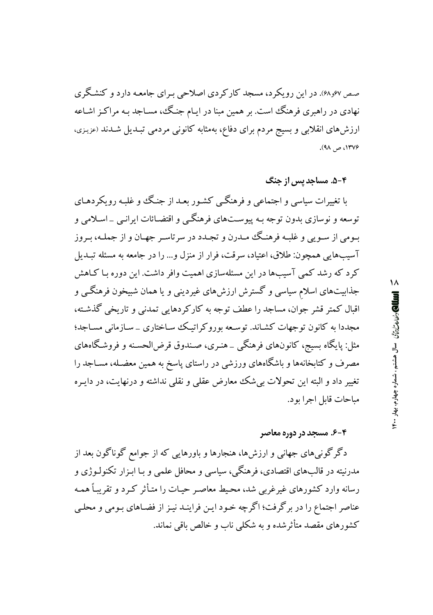صص ۶۷و۴۸). در این رویکرد، مسجد کارکردی اصلاحی بـرای جامعـه دارد و کنشـگری نهادی در راهبری فرهنگ است. بر همین مبنا در ایـام جنـگ، مسـاجد بـه مراکـز اشـاعه ارزش۵های انقلابی و بسیج مردم برای دفاع، بهمثابه کانونی مردمی تبـدیل شـدند (عزیـزی، ۱۳۷۶، ص ۹۸).

۵-۴. مساحد بس از جنگ

با تغییرات سیاسی و اجتماعی و فرهنگبی کشور بعـد از جنـگ و غلبـه رویکردهـای توسعه و نوسازي بدون توجه بـه پيوسـتهاي فرهنگـي و اقتضـائات ايرانـي \_ اسـلامي و بـومي از سـويي و غلبـه فرهنـگ ممـدرن و تجـدد در سرتاسـر جهـان و از جملـه، بـروز آسيبهايي همچون: طلاق، اعتياد، سرقت، فرار از منزل و... را در جامعه به مسئله تبـديل کرد که رشد کمی آسیبها در این مسئلهسازی اهمیت وافر داشت. این دوره بـا کـاهش جذابیتهای اسلام سیاسی و گسترش ارزشهای غیردینی و یا همان شبیخون فرهنگــی و اقبال کمتر قشر جوان، مساجد را عطف توجه به کارکردهایی تمدنی و تاریخی گذشته، مجددا به کانون توجهات کشـاند. توسـعه بوروکراتیـک سـاختاری \_سـازمانی مسـاجد؛ مثل: پایگاه بسیج، کانونهای فرهنگی \_هنـری، صـندوق قرض|لحسـنه و فروشـگاههای مصرف و کتابخانهها و باشگاههای ورزشی در راستای پاسخ به همین معضـله، مســاجد را تغییر داد و البته این تحولات بیشک معارض عقلبی و نقلبی نداشته و درنهایت، در دایـره مباحات قابل اجرا بو د.

#### ۴-۶. مسجد در دوره معاصر

دگرگونیهای جهانی و ارزشها، هنجارها و باورهایی که از جوامع گوناگون بعد از مدرنیته در قالبهای اقتصادی، فرهنگی، سیاسی و محافل علمی و بـا ابـزار تکنولـوژی و رسانه وارد کشورهای غیرغربی شد، محیط معاصر حیـات را متـأثر کـرد و تقریبـاً همـه عناصر اجتماع را در برگرفت؛ اگرچه خـود ايـن فراينـد نيـز از فضـاهاي بـومي و محلـي کشورهای مقصد متأثرشده و به شکلی ناب و خالص باقی نماند.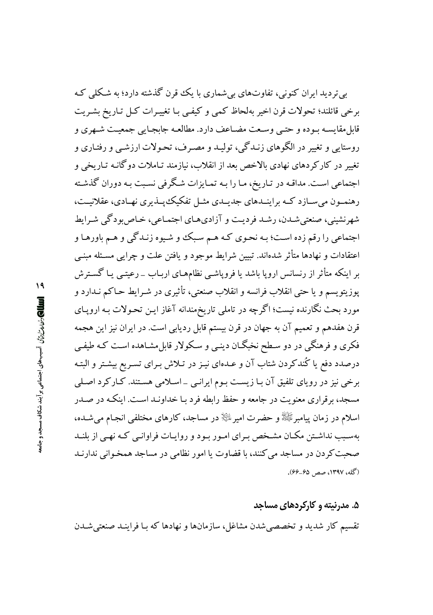بي ترديد ايران كنوني، تفاوتهاي بي شماري با يك قرن گذشته دارد؛ به شكلي كـه برخي قائلند؛ تحولات قرن اخير بهلحاظ كمبي و كيفي بـا تغييـرات كـل تـاريخ بشـريت قابل مقايسـه بـوده و حتـي وسـعت مضـاعف دارد. مطالعـه جابجـايي جمعيـت شـهري و روستایی و تغییر در الگوهای زنیدگی، تولیید و مصبرف، تحبولات ارزشبی و رفتیاری و تغییر در کارکردهای نهادی بالاخص بعد از انقلاب، نیازمند تـاملات دوگانـه تـاریخی و اجتماعی است. مداقـه در تـاریخ، مـا را بـه تمـایزات شـگرفی نسـبت بـه دوران گذشـته رهنمــون می ســازد کــه براینــدهای جدیــدی مثــل تفکیک یــذیری نهــادی، عقلانیــت، شهرنشینی، صنعتی شدن، رشد فردیت و آزادیهای اجتماعی، خـاص بودگی شـرایط اجتماعي را رقم زده است؛ بـه نحـوي كـه هـم سـبكـُ و شـيوه زنـدگي و هـم باورهـا و اعتقادات و نهادها متأثر شدهاند. تبیین شرایط موجود و یافتن علت و چرایی مسـئله مبنـی بر اینکه متأثر از رنسانس اروپا باشد یا فروپاشـی نظامهـای اربـاب \_ رعیتـی یـا گسـترش يوزيتويسم و يا حتى انقلاب فرانسه و انقلاب صنعتي، تأثيري در شـرايط حـاكم نــدارد و مورد بحث نگارنده نیست؛ اگرچه در تاملی تاریخمندانه آغاز ایـن تحـولات بـه اروپـای قرن هفدهم و تعمیم آن به جهان در قرن بیستم قابل ردیابی است. در ایران نیز این هجمه فکری و فرهنگی در دو سطح نخبگان دینبی و سکولار قابل مشـاهده اسـت کـه طیفـی درصدد دفع یا کُندکردن شتاب آن و عـدهای نیـز در تـلاش بـرای تسـریع بیشـتر و البتـه برخی نیز در رویای تلفیق آن بـا زیسـت بـوم ایرانـی \_اسـلامی هسـتند. کـارکرد اصـلی مسجد، برقراری معنویت در جامعه و حفظ رابطه فرد بـا خداونـد اسـت. اینکـه در صـدر اسلام در زمان پیامبرﷺ و حضرت امیر ﷺ در مساجد، کارهای مختلفی انجـام می شـده، بهسبب نداشتن مکـان مشـخص بـراي امـور بـود و روايـات فراوانـي کـه نهـي از بلنــد صحبت کر دن در مساجد می کنند، با قضاوت یا امور نظامی در مساجد همخـوانی ندارنـد (گله، ۱۳۹۷، صص ۶۵–۶۶).

## ۵. مدرنیته و کارکردهای مساجد

تقسیم کار شدید و تخصصی شدن مشاغل، سازمانها و نهادها که بـا فراینـد صنعتی شـدن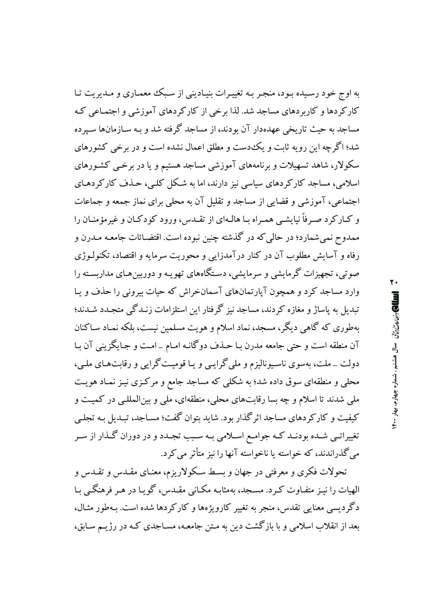به اوج خود رسیده بـود، منجـر بـه تغییـرات بنیـادینی از سـبک معمـاری و مـدیریت تـا کار کردها و کاربردهای مساجد شد. لذا برخی از کار کردهای آموزشی و اجتمـاعی کـه مساجد به حیث تاریخی عهدهدار آن بودند، از مساجد گرفته شد و به سیازمانها سپرده شد؛ اگرچه این رو به ثابت و یک دست و مطلق اعمال نشده است و در برخی کشورهای سکولار، شاهد تسهیلات و برنامههای آموزشی مساجد هستیم و یا در برخـی کشـورهای اسلامی، مساجد کارکردهای سیاسی نیز دارند، اما به شکل کلبی، حـذف کارکردهـای اجتماعی، آموزشی و قضایی از مساجد و تقلیل آن به محلی برای نماز جمعه و جماعات و کـارکرد صـرفاً نیایشـی همـراه بـا هالـهای از تقــدس، ورود کودکـان و غیرمؤمنـان را ممدوح نمي شمارد؛ در حالي كه در گذشته چنين نبوده است. اقتضـائات جامعـه مـدرن و رفاه و آسایش مطلوب آن در کنار درآمدزایی و محوریت سرمایه و اقتصاد، تکنولـوژی صوتی، تجهیزات گرمایشی و سرمایشی، دستگاههای تهویـه و دوربین هـای مداربسـته را وارد مساجد کرد و همچون آیارتمانهای آسمانخراش که حیات بیرونی را حذف و پـا تبدیل به پاساژ و مغازه کردند، مساجد نیز گرفتار این استلزامات زنـدگی متجـدد شــدند؛ بهطوری که گاهی دیگر، مسجد، نماد اسلام و هویت مسلمین نیست، بلکه نمـاد سـاکنان آن منطقه است و حتى جامعه مدرن بـا حـذف دوگانـه امـام \_امـت و جـايگزيني آن بـا دولت \_ ملت، بهسوی ناسیونالیزم و ملی گرایبی و یـا قومیـت گرایبی و رقابتهـای ملـی، محلی و منطقهای سوق داده شد؛ به شکلی که مساجد جامع و مرکـزی نیـز نمـاد هویـت ملي شدند تا اسلام و چه بسا رقابتهاي محلي، منطقهاي، ملي و بينالمللـي در كميـت و کیفیت و کارکردهای مساجد اثرگذار بود. شاید بتوان گفت؛ مساجد، تبـدیل بـه تجلـی تغییراتـی شـده بودنـد کـه جوامـع اسـلامی بـه سـبب تجـدد و در دوران گـذار از سـر می گذراندند، که خواسته یا ناخواسته آنها را نیز متأثر می کرد.

تحولات فکری و معرفتی در جهان و بسط سکولاریزم، معنـای مقـدس و تقـدس و الهیات را نیـز متفـاوت کـرد. مسـجد، بهمثابـه مکـانی مقـدس، گویـا در هـر فرهنگـی بـا دگردیسی معنایی تقدس، منجر به تغییر کارویژهها و کارکردها شده است. بـهطور مثـال، بعد از انقلاب اسلامی و با بازگشت دین به مـتن جامعـه، مسـاجدی کـه در رژیـم سـابق،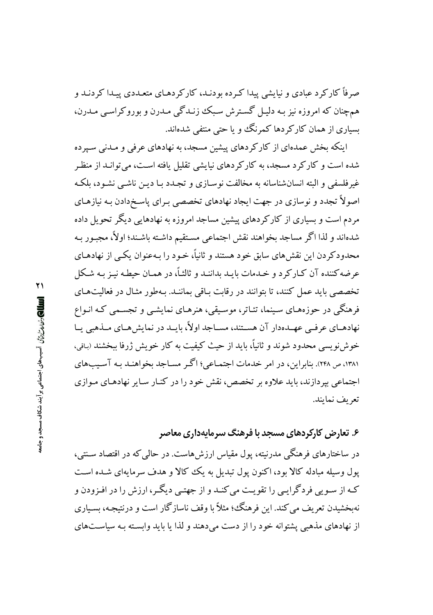صرفاً کار کرد عبادی و نبایشی پیدا که ده بودنـد، کار کردهـای متعـددی پیـدا کردنـد و همچنان که امروزه نیز بـه دلیـل گسـترش سـبک زنـدگی مـدرن و بوروکراسـی مـدرن، بسیاری از همان کارکردها کمرنگ و یا حتی منتفی شدهاند.

اینکه بخش عمدهای از کارکردهای پیشین مسجد، به نهادهای عرفی و مـدنی سـپرده شده است و کارکر د مسجد، به کارکردهای نیایشی تقلیل یافته است، میتوانـد از منظـر غیرفلسفی و البته انسان شناسانه به مخالفت نوسیازی و تجیدد بیا دین ناشبی نشیود، بلکه اصولاً تجدد و نوسازی در جهت ایجاد نهادهای تخصصی بـرای پاسـخدادن بـه نیازهـای مردم است و بسیاری از کارکردهای پیشین مساجد امروزه به نهادهایی دیگر تحویل داده شدهاند و لذا اگر مساجد بخواهند نقش اجتماعی مستقیم داشـته باشـند؛ اولاً، مجبـور بـه محدودکر دن این نقش های سابق خود هستند و ثانیاً، خـود را بـهعنوان یکـی از نهادهـای عرضه كننده آن كـاركرد و خـدمات بايـد بداننـد و ثالثـاً، در همـان حيطـه نيـز بـه شـكل تخصصی باید عمل کنند، تا بتوانند در رقابت بـاقی بماننـد. بـهطور مثـال در فعالیت۱مـای فرهنگی در حوزههـای سـینما، تئـاتر، موسـیقی، هنرهـای نمایشـی و تجسـمی کـه انـواع نهادهـاي عرفـي عهـدهدار آن هســتند، مســاجد اولاً، بايــد در نمايش هــاي مــذهبي يــا خوش نویسی محدود شوند و ثانیاً، باید از حیث کیفیت به کار خویش ژرفا ببخشند (باقی، ۱۳۸۱، ص ۲۴۸). بنابراین، در امر خدمات اجتمـاعی؛ اگـر مسـاجد بخواهنـد بـه آسـیبهای اجتماعی بیردازند، باید علاوه بر تخصص، نقش خود را در کنـار سـایر نهادهـای مـوازی تعريف نمايند.

# ۶. تعارض کارکردهای مسجد با فرهنگ سرمایهداری معاصر

در ساختارهای فرهنگم مدرنیته، پول مقیاس ارزش هاست. در حالی که در اقتصاد سـنتی، یول وسیله مبادله کالا بود، اکنون یول تبدیل به یک کالا و هدف سرمایهای شـده اسـت کـه از سـویی فردگرایـی را تقویـت می کنـد و از جهتـی دیگـر، ارزش را در افـزودن و نهىخشيدن تعريف مى كند. اين فرهنگ؛ مثلاً يا وقف ناساز گار است و درنتيجـه، بسـباري از نهادهای مذهبی پشتوانه خود را از دست می دهند و لذا یا باید وابسته به سیاستهای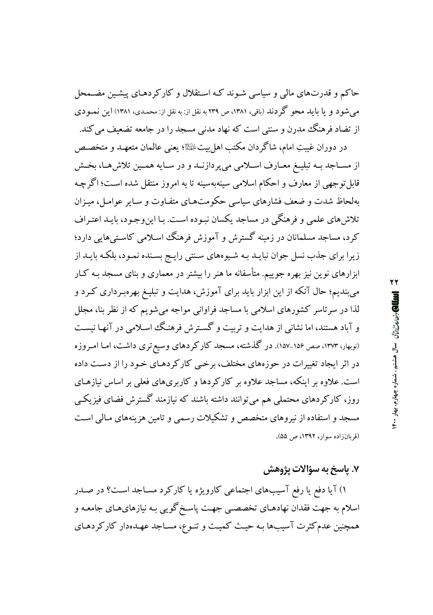حاکم و قدرتهای مالی و سیاسی شـوند کـه اسـتقلال و کارکردهـای پیشـین مضـمحل می شو د و یا باید محو گر دند (باقی، ۱۳۸۱، ص ۲۳۹ به نقل از: به نقل از: محمدی، ۱۳۸۱) این نمـو دی از تضاد فرهنگ مدرن و سنتی است که نهاد مدنی مسجد را در جامعه تضعیف می کند.

در دوران غيبتِ امام، شاگردان مكتب اهل بيتﷺ؛ يعني عالمان متعهـد و متخصـص از مســاجد بــه تبليــغ معــارف اســلامي مي پردازنــد و در ســايه همــين تلاش هــا، بخــش قابل توجهی از معارف و احکام اسلامی سینهبهسینه تا به امروز منتقل شده است؛ اگرچـه بهلحاظ شدت و ضعف فشارهای سیاسی حکومتهای متفاوت و سایر عوامل، میـزان تلاش های علمی و فرهنگی در مساجد یکسان نبـوده اسـت. بـا این وجـود، بایـد اعتـراف کرد، مساجد مسلمانان در زمینه گسترش و آموزش فرهنگ اسلامی کاستی هایی دارد؛ زیرا برای جذب نسل جوان نبایـد بـه شـیوههای سـنتی رایـج بسـنده نمـود، بلکـه بایـد از ابزارهای نوین نیز بهره جوییم. متأسفانه ما هنر را بیشتر در معماری و بنای مسجد بـه کـار می بندیم؛ حال آنکه از این ابزار باید برای آموزش، هدایت و تبلیغ بهرهبرداری کرد و لذا در سرتاسر کشورهای اسلامی با مساجد فراوانی مواجه میشویم که از نظر بنا، مجلل و آباد هستند، اما نشانی از هدایت و تربیت و گسترش فرهنگ اسلامی در آنها نیست (نوبهار، ۱۳۷۳، صص ۱۵۶–۱۵۷). در گذشته، مسجد کارکردهای وسیع تری داشت، امـا امـروزه در اثر ایجاد تغییرات در حوزههای مختلف، برخبی کارکردهـای خـود را از دسـت داده است. علاوه بر اینکه، مساجد علاوه بر کارکردها و کاربریهای فعلی بر اساس نیازهـای روز، کارکردهای محتملی هم می توانند داشته باشند که نیازمند گسترش فضای فیزیکی مسجد و استفاده از نیروهای متخصص و تشکیلات رسمی و تامین هزینههای مـالمی اسـت (قربانزاده سوار، ١٣٩٢، ص ٥٥).

۲۲

## ۷. ياسخ به سؤالات پژوهش

۱) آیا دفع یا رفع آسیبهای اجتماعی کارویژه یا کارکرد مساجد است؟ در صـدر اسلام به جهت فقدان نهادهـاي تخصصـي جهـت پاسـخ گويي بـه نيازهايهـاي جامعـه و همچنین عدمکثرت آسیبها بـه حیـث کمیـت و تنـوع، مسـاجد عهـدهدار کارکردهـای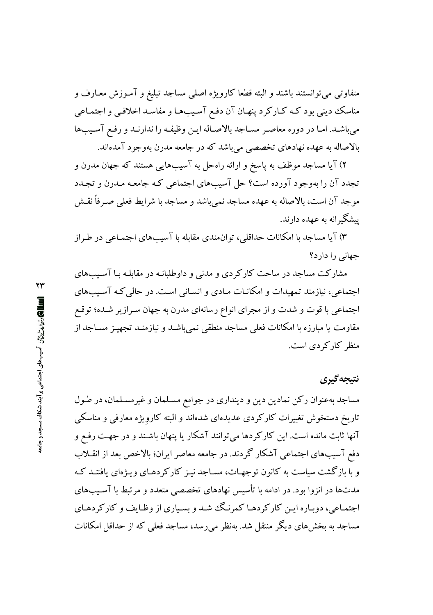متفاوتی می توانستند باشند و البته قطعا کارویژه اصلی مساجد تبلیغ و آمـوزش معـارف و مناسک دینی بود کـه کـارکرد پنهـان آن دفـع آسـیبهـا و مفاسـد اخلاقـی و اجتمـاعی میباشد. امـا در دوره معاصـر مسـاجد بالاصـاله ايـن وظيفـه را ندارنـد و رفـع آسـيبها بالاصاله به عهده نهادهای تخصصی می باشد که در جامعه مدرن بهوجود آمدهاند.

۲) آیا مساجد موظف به پاسخ و ارائه راهحل به آسیبهایی هستند که جهان مدرن و تجدد آن را بهوجود آورده است؟ حل آسیبهای اجتماعی کـه جامعـه مـدرن و تجـدد موجد آن است، بالاصاله به عهده مساجد نمي باشد و مساجد با شرايط فعلى صـرفاً نقــش یستگیرانه به عهده دارند.

۳) آیا مساجد با امکانات حداقلی، توان.ندی مقابله با آسیبهای اجتمـاعی در طـراز جهانی را دار د؟

مشارکت مساجد در ساحت کارکردی و مدنی و داوطلبانـه در مقابلـه بـا آسـيبهای اجتماعی، نیازمند تمهیدات و امکانـات مـادی و انسـانی اسـت. در حالی کـه آسـیبهای اجتماعی با قوت و شدت و از مجرای انواع رسانهای مدرن به جهان سـرازير شـده؛ توقـع مقاومت یا مبارزه با امکانات فعلی مساجد منطقی نمی باشـد و نیازمنـد تجهیـز مسـاجد از منظر کارکردی است.

## نتيجه گيري

مساجد بهعنوان رکن نمادین دین و دینداری در جوامع مسـلمان و غیرمسـلمان، در طـول تاریخ دستخوش تغییرات کارکردی عدیدهای شدهاند و البته کارویژه معارفی و مناسکی آنها ثابت مانده است. این کارکردها میتوانند آشکار یا پنهان باشـند و در جهـت رفـع و دفع آسیبهای اجتماعی آشکار گردند. در جامعه معاصر ایران؛ بالاخص بعد از انقـلاب و با بازگشت سیاست به کانون توجهـات، مسـاجد نیـز کارکردهـای ویـژهای یافتنـد کـه مدتها در انزوا بود. در ادامه با تأسیس نهادهای تخصصی متعدد و مرتبط با آسـیبهای اجتمـاعي، دوبـاره ايـن كاركردهـا كمرنـگ شـد و بسـياري از وظـايف و كاركردهـاي مساجد به بخش های دیگر منتقل شد. بهنظر می رسد، مساجد فعلی که از حداقل امکانات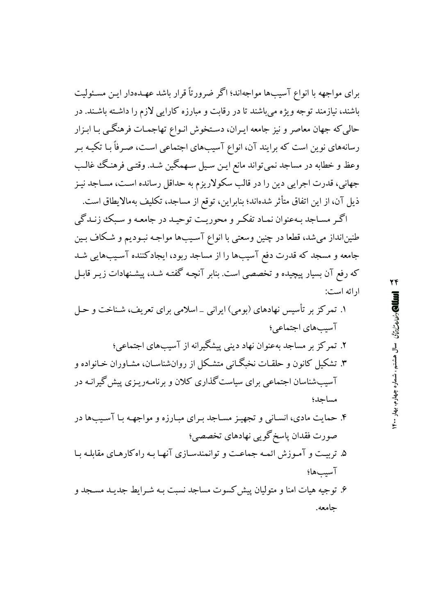برای مواجهه با انواع آسیبها مواجهاند؛ اگر ضرورتاً قرار باشد عهـدهدار ایـن مسـئولیت باشند، نیازمند توجه ویژه می باشند تا در رقابت و مبارزه کارایی لازم را داشته باشـند. در حالي كه جهان معاصر و نيز جامعه ايـران، دسـتخوش انـواع تهاجمـات فرهنگـي بـا ابـزار رسانههای نوین است که برایند آن، انواع آسیبهای اجتماعی است، صرفاً بـا تکیـه بـر وعظ و خطابه در مساجد نمی تواند مانع ایـن سـیل سـهمگین شـد. وقتـی فرهنـگ غالـب جهانی، قدرت اجرایی دین را در قالب سکولاریزم به حداقل رسانده است، مسـاجد نیـز ذيل آن، از اين اتفاق متأثر شدهاند؛ بنابراين، توقع از مساجد، تكليف بهمالايطاق است.

اگـر مسـاجد بـهعنوان نمـاد تفكـر و محوريـت توحيـد در جامعـه و سـبك زنـدگي طنینانداز میشد، قطعا در چنین وسعتی با انواع آسـیبها مواجـه نبـودیم و شـکاف بـین جامعه و مسجد که قدرت دفع آسیبها را از مساجد ربود، ایجادکننده آسـیبهایی شـد که رفع آن بسیار پیچیده و تخصصی است. بنابر آنچـه گفتـه شـد، پیشـنهادات زیـر قابـل ار ائه است:

- ۱. تمرکز بر تأسیس نهادهای (بومی) ایرانی \_اسلامی برای تعریف، شـناخت و حـل آسیبهای اجتماعی؛ ۲. تمرکز بر مساجد بهعنوان نهاد دینی پیشگیرانه از آسیبهای اجتماعی؛ ۳. تشکیل کانون و حلقیات نخیگیانی متشکل از روان شناسیان، مشیاوران خیانواده و آسیبشناسان اجتماعی برای سیاست گذاری کلان و برنامـهریـزی پیش گیرانـه در مساحد؛ ۴. حمایت مادی، انسـانی و تجهیـز مسـاجد بـرای مبـارزه و مواجهـه بـا آسـیبها در صورت فقدان پاسخ گویبی نهادهای تخصصی؛
- ۵. تربیت و آموزش ائمه جماعت و توانمندسازی آنها به راه کارهای مقابله بیا آسيبها؛
- ۶. توجیه هیات امنا و متولیان پیش کسوت مساجد نسبت بـه شـرایط جدیـد مسـجد و جامعه.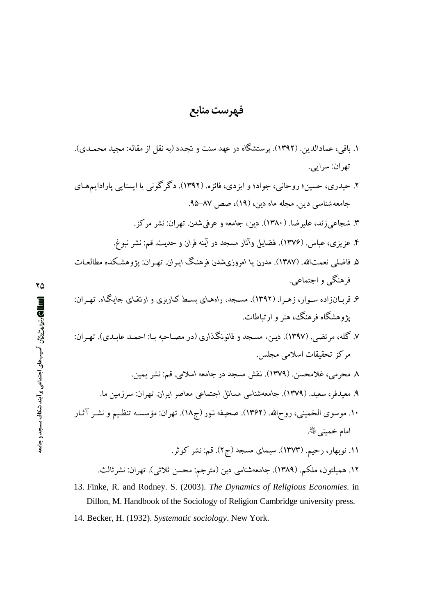#### فهرست منابع

- ۱. باقی، عمادالدین. (۱۳۹۲). پرستشگاه در عهد سنت و تجدد (به نقل از مقاله: مجید محمـدی). تھران: سراہے . ۲. حیدری، حسین؛ دوحانی، جواد؛ و ایزدی، فائزه. (۱۳۹۲). دگر گونی یا ایستایی پارادایههای جامعهشناسی دین. مجله ماه دین، (۱۹)، صص ۸۷–۹۵. ۳. شجاعي زند، عليرضا. (١٣٨٠). دين، جامعه و عرفي شدن. تهران: نشر مركز. ۴. عزیزی، عباس. (۱۳۷۶). فضایل وآثار مسجد در آینه قران و حدیث. قم: نشر نبوغ. ۵. فاضلی نعمتالله. (۱۳۸۷). مدرن یا امروزیشدن فرهنگ ایـران. تهـران: یژوهشـکده مطالعـات فرهنگي و اجتماعي. ۶. قربـانزاده سـوار، زهـرا. (۱۳۹۲). مسـجد، راههـای بسـط کـاربری و ارتقـای جایـگـاه. تهـران: یژوهشگاه فرهنگ، هنر و ارتباطات. ٧. گله، مرتضى. (١٣٩٧). دين، مسجد و قانونگذاري (در مصـاحـه بـا: احمـد عابـدي). تهـران: م کز تحقیقات اسلامی مجلس. ٨ محرمي، غلامحسن. (١٣٧٩). نقش مسجد در جامعه اسلامي. قم: نشر يمين. ۹. معیدفر، سعید. (۱۳۷۹). جامعهشناسی مسائل اجتماعی معاصر ایران. تهران: سرزمین ما. ۱۰. موسوی الخمینی، روح\لله. (۱۳۶۲). صحیفه نـور (ج۱۸). تـهران: مؤسسـه تنظـیم و نشـر آثـار امام خميني ﷺ. ۱۱. نوبهار، رحیم. (۱۳۷۳). سیمای مسجد (ج۲). قم: نشر کوثر. ۱۲. همیلتون، ملکم. (۱۳۸۹). جامعهشناسی دین (مترجم: محسن ثلاثی). تهران: نشرثالث. 13. Finke, R. and Rodney. S. (2003). The Dynamics of Religious Economies. in
	- Dillon, M. Handbook of the Sociology of Religion Cambridge university press. 14. Becker, H. (1932). Systematic sociology. New York.